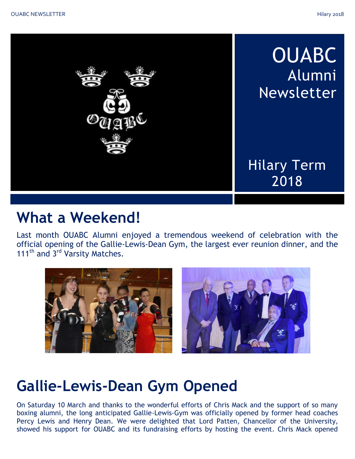

## **What a Weekend!**

Last month OUABC Alumni enjoyed a tremendous weekend of celebration with the official opening of the Gallie-Lewis-Dean Gym, the largest ever reunion dinner, and the 111<sup>th</sup> and 3<sup>rd</sup> Varsity Matches.



# **Gallie-Lewis-Dean Gym Opened**

On Saturday 10 March and thanks to the wonderful efforts of Chris Mack and the support of so many boxing alumni, the long anticipated Gallie-Lewis-Gym was officially opened by former head coaches Percy Lewis and Henry Dean. We were delighted that Lord Patten, Chancellor of the University, showed his support for OUABC and its fundraising efforts by hosting the event. Chris Mack opened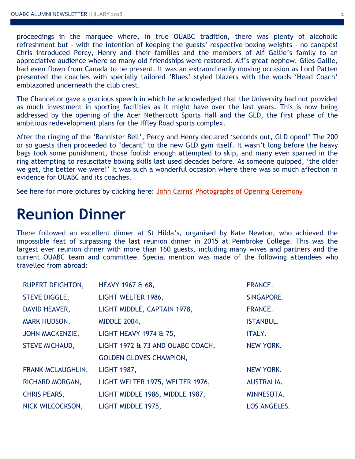proceedings in the marquee where, in true OUABC tradition, there was plenty of alcoholic refreshment but - with the intention of keeping the guests' respective boxing weights - no canapés! Chris introduced Percy, Henry and their families and the members of Alf Gallie's family to an appreciative audience where so many old friendships were restored. Alf's great nephew, Giles Gallie, had even flown from Canada to be present. It was an extraordinarily moving occasion as Lord Patten presented the coaches with specially tailored 'Blues' styled blazers with the words 'Head Coach' emblazoned underneath the club crest.

The Chancellor gave a gracious speech in which he acknowledged that the University had not provided as much investment in sporting facilities as it might have over the last years. This is now being addressed by the opening of the Acer Nethercott Sports Hall and the GLD, the first phase of the ambitious redevelopment plans for the Iffley Road sports complex.

After the ringing of the 'Bannister Bell', Percy and Henry declared 'seconds out, GLD open!' The 200 or so guests then proceeded to 'decant' to the new GLD gym itself. It wasn't long before the heavy bags took some punishment, those foolish enough attempted to skip, and many even sparred in the ring attempting to resuscitate boxing skills last used decades before. As someone quipped, 'the older we get, the better we were!' It was such a wonderful occasion where there was so much affection in evidence for OUABC and its coaches.

See here for more pictures by clicking here: [John Cairns' Photographs of Opening Ceremony](http://galleries.johncairns.co.uk/Boxing_Centre_Opening_10.3.18/index.html)

### **Reunion Dinner**

There followed an excellent dinner at St Hilda's, organised by Kate Newton, who achieved the impossible feat of surpassing the last reunion dinner in 2015 at Pembroke College. This was the largest ever reunion dinner with more than 160 guests, including many wives and partners and the current OUABC team and committee. Special mention was made of the following attendees who travelled from abroad:

| <b>RUPERT DEIGHTON,</b>  | HEAVY 1967 & 68,                 | <b>FRANCE.</b>      |
|--------------------------|----------------------------------|---------------------|
| <b>STEVE DIGGLE,</b>     | LIGHT WELTER 1986,               | SINGAPORE.          |
| <b>DAVID HEAVER,</b>     | LIGHT MIDDLE, CAPTAIN 1978,      | <b>FRANCE.</b>      |
| <b>MARK HUDSON,</b>      | <b>MIDDLE 2004,</b>              | <b>ISTANBUL.</b>    |
| <b>JOHN MACKENZIE,</b>   | LIGHT HEAVY 1974 & 75,           | ITALY.              |
| <b>STEVE MICHAUD,</b>    | LIGHT 1972 & 73 AND OUABC COACH, | <b>NEW YORK.</b>    |
|                          | <b>GOLDEN GLOVES CHAMPION,</b>   |                     |
| <b>FRANK MCLAUGHLIN,</b> | <b>LIGHT 1987,</b>               | <b>NEW YORK.</b>    |
| RICHARD MORGAN,          | LIGHT WELTER 1975, WELTER 1976,  | AUSTRALIA.          |
| <b>CHRIS PEARS,</b>      | LIGHT MIDDLE 1986, MIDDLE 1987,  | MINNESOTA.          |
| NICK WILCOCKSON,         | LIGHT MIDDLE 1975,               | <b>LOS ANGELES.</b> |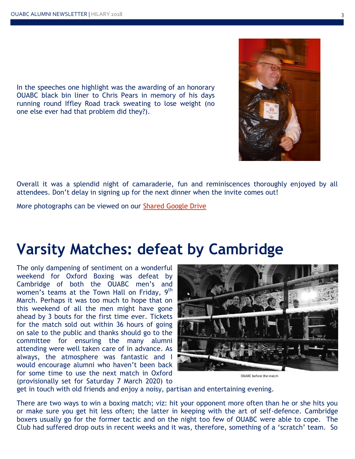In the speeches one highlight was the awarding of an honorary OUABC black bin liner to Chris Pears in memory of his days running round Iffley Road track sweating to lose weight (no one else ever had that problem did they?).

Overall it was a splendid night of camaraderie, fun and reminiscences thoroughly enjoyed by all attendees. Don't delay in signing up for the next dinner when the invite comes out!

More photographs can be viewed on our [Shared Google Drive](https://photos.google.com/share/AF1QipPOpp2Je4-kID8JJyqKR5ruDso6GWRGYXeUIQg0ACLBY-BzR8SHQYkPmI4mQOIgnw?key=eDNNdWRzdEQyQS1BUlJhU05QdjRWdG54TE5YMEhR)

# **Varsity Matches: defeat by Cambridge**

The only dampening of sentiment on a wonderful weekend for Oxford Boxing was defeat by Cambridge of both the OUABC men's and women's teams at the Town Hall on Friday, 9<sup>th</sup> March. Perhaps it was too much to hope that on this weekend of all the men might have gone ahead by 3 bouts for the first time ever. Tickets for the match sold out within 36 hours of going on sale to the public and thanks should go to the committee for ensuring the many alumni attending were well taken care of in advance. As always, the atmosphere was fantastic and I would encourage alumni who haven't been back for some time to use the next match in Oxford (provisionally set for Saturday 7 March 2020) to

OUABC before the match

get in touch with old friends and enjoy a noisy, partisan and entertaining evening.

There are two ways to win a boxing match; viz: hit your opponent more often than he or she hits you or make sure you get hit less often; the latter in keeping with the art of self-defence. Cambridge boxers usually go for the former tactic and on the night too few of OUABC were able to cope. The Club had suffered drop outs in recent weeks and it was, therefore, something of a 'scratch' team. So

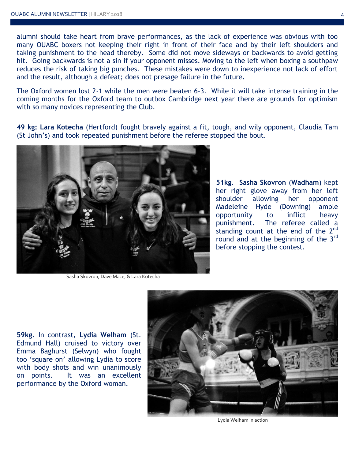alumni should take heart from brave performances, as the lack of experience was obvious with too many OUABC boxers not keeping their right in front of their face and by their left shoulders and taking punishment to the head thereby. Some did not move sideways or backwards to avoid getting hit. Going backwards is not a sin if your opponent misses. Moving to the left when boxing a southpaw reduces the risk of taking big punches. These mistakes were down to inexperience not lack of effort and the result, although a defeat; does not presage failure in the future.

The Oxford women lost 2-1 while the men were beaten 6-3. While it will take intense training in the coming months for the Oxford team to outbox Cambridge next year there are grounds for optimism with so many novices representing the Club.

**49 kg: Lara Kotecha** (Hertford) fought bravely against a fit, tough, and wily opponent, Claudia Tam (St John's) and took repeated punishment before the referee stopped the bout.



Sasha Skovron, Dave Mace, & Lara Kotecha

**51kg**. **Sasha Skovron** (**Wadham**) kept her right glove away from her left shoulder allowing her opponent Madeleine Hyde (Downing) ample opportunity to inflict heavy punishment. The referee called a standing count at the end of the 2<sup>nd</sup> round and at the beginning of the 3<sup>rd</sup> before stopping the contest.

**59kg**. In contrast, **Lydia Welham** (St. Edmund Hall) cruised to victory over Emma Baghurst (Selwyn) who fought too 'square on' allowing Lydia to score with body shots and win unanimously on points. It was an excellent performance by the Oxford woman.



Lydia Welham in action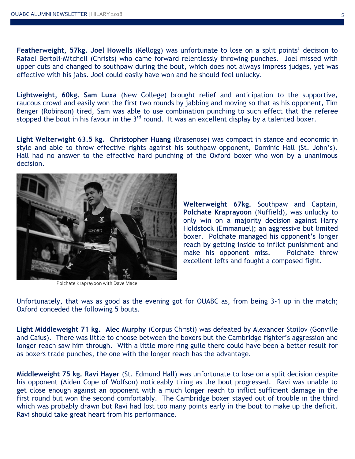**Featherweight, 57kg. Joel Howells** (Kellogg) was unfortunate to lose on a split points' decision to Rafael Bertoli-Mitchell (Christs) who came forward relentlessly throwing punches. Joel missed with upper cuts and changed to southpaw during the bout, which does not always impress judges, yet was effective with his jabs. Joel could easily have won and he should feel unlucky.

**Lightweight, 60kg. Sam Luxa** (New College) brought relief and anticipation to the supportive, raucous crowd and easily won the first two rounds by jabbing and moving so that as his opponent, Tim Benger (Robinson) tired, Sam was able to use combination punching to such effect that the referee stopped the bout in his favour in the 3<sup>rd</sup> round. It was an excellent display by a talented boxer.

**Light Welterwight 63.5 kg. Christopher Huang** (Brasenose) was compact in stance and economic in style and able to throw effective rights against his southpaw opponent, Dominic Hall (St. John's). Hall had no answer to the effective hard punching of the Oxford boxer who won by a unanimous decision.



Polchate Kraprayoon with Dave Mace

**Welterweight 67kg.** Southpaw and Captain, **Polchate Kraprayoon** (Nuffield), was unlucky to only win on a majority decision against Harry Holdstock (Emmanuel); an aggressive but limited boxer. Polchate managed his opponent's longer reach by getting inside to inflict punishment and make his opponent miss. Polchate threw excellent lefts and fought a composed fight.

Unfortunately, that was as good as the evening got for OUABC as, from being 3-1 up in the match; Oxford conceded the following 5 bouts.

**Light Middleweight 71 kg. Alec Murphy** (Corpus Christi) was defeated by Alexander Stoilov (Gonville and Caius). There was little to choose between the boxers but the Cambridge fighter's aggression and longer reach saw him through. With a little more ring guile there could have been a better result for as boxers trade punches, the one with the longer reach has the advantage.

**Middleweight 75 kg. Ravi Hayer** (St. Edmund Hall) was unfortunate to lose on a split decision despite his opponent (Aiden Cope of Wolfson) noticeably tiring as the bout progressed. Ravi was unable to get close enough against an opponent with a much longer reach to inflict sufficient damage in the first round but won the second comfortably. The Cambridge boxer stayed out of trouble in the third which was probably drawn but Ravi had lost too many points early in the bout to make up the deficit. Ravi should take great heart from his performance.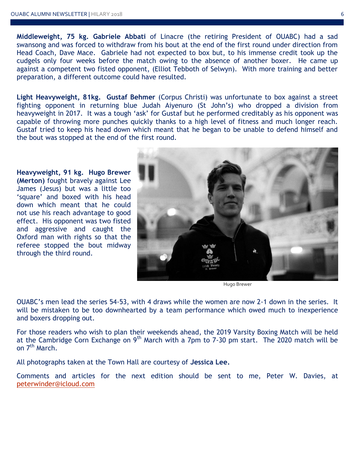**Middleweight, 75 kg. Gabriele Abbati** of Linacre (the retiring President of OUABC) had a sad swansong and was forced to withdraw from his bout at the end of the first round under direction from Head Coach, Dave Mace. Gabriele had not expected to box but, to his immense credit took up the cudgels only four weeks before the match owing to the absence of another boxer. He came up against a competent two fisted opponent, (Elliot Tebboth of Selwyn). With more training and better preparation, a different outcome could have resulted.

**Light Heavyweight, 81kg. Gustaf Behmer** (Corpus Christi) was unfortunate to box against a street fighting opponent in returning blue Judah Aiyenuro (St John's) who dropped a division from heavyweight in 2017. It was a tough 'ask' for Gustaf but he performed creditably as his opponent was capable of throwing more punches quickly thanks to a high level of fitness and much longer reach. Gustaf tried to keep his head down which meant that he began to be unable to defend himself and the bout was stopped at the end of the first round.

**Heavyweight, 91 kg. Hugo Brewer (Merton)** fought bravely against Lee James (Jesus) but was a little too 'square' and boxed with his head down which meant that he could not use his reach advantage to good effect. His opponent was two fisted and aggressive and caught the Oxford man with rights so that the referee stopped the bout midway through the third round.



Hugo Brewer

OUABC's men lead the series 54-53, with 4 draws while the women are now 2-1 down in the series. It will be mistaken to be too downhearted by a team performance which owed much to inexperience and boxers dropping out.

For those readers who wish to plan their weekends ahead, the 2019 Varsity Boxing Match will be held at the Cambridge Corn Exchange on 9<sup>th</sup> March with a 7pm to 7-30 pm start. The 2020 match will be on 7<sup>th</sup> March.

All photographs taken at the Town Hall are courtesy of **Jessica Lee.**

Comments and articles for the next edition should be sent to me, Peter W. Davies, at [peterwinder@icloud.com](mailto:peterwinder@icloud.com)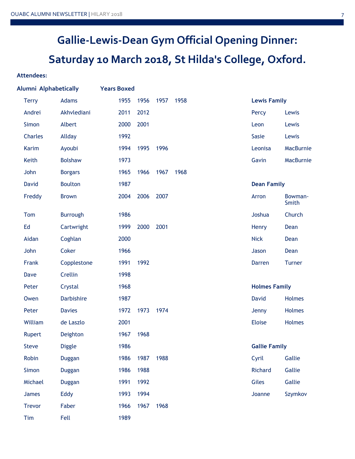## **Gallie-Lewis-Dean Gym Official Opening Dinner: Saturday 10 March 2018, St Hilda's College, Oxford.**

#### **Attendees:**

| Alumni Alphabetically |                   | <b>Years Boxed</b> |      |      |      |                      |                  |
|-----------------------|-------------------|--------------------|------|------|------|----------------------|------------------|
| <b>Terry</b>          | Adams             | 1955               | 1956 | 1957 | 1958 | <b>Lewis Family</b>  |                  |
| Andrei                | Akhvlediani       | 2011               | 2012 |      |      | Percy                | Lewis            |
| Simon                 | Albert            | 2000               | 2001 |      |      | Leon                 | Lewis            |
| <b>Charles</b>        | Allday            | 1992               |      |      |      | <b>Sasie</b>         | Lewis            |
| Karim                 | Ayoubi            | 1994               | 1995 | 1996 |      | Leonisa              | MacBurnie        |
| Keith                 | <b>Bolshaw</b>    | 1973               |      |      |      | Gavin                | MacBurnie        |
| John                  | <b>Borgars</b>    | 1965               | 1966 | 1967 | 1968 |                      |                  |
| <b>David</b>          | <b>Boulton</b>    | 1987               |      |      |      | <b>Dean Family</b>   |                  |
| Freddy                | <b>Brown</b>      | 2004               | 2006 | 2007 |      | Arron                | Bowman-<br>Smith |
| Tom                   | <b>Burrough</b>   | 1986               |      |      |      | Joshua               | Church           |
| Ed                    | Cartwright        | 1999               | 2000 | 2001 |      | Henry                | Dean             |
| Aidan                 | Coghlan           | 2000               |      |      |      | <b>Nick</b>          | Dean             |
| John                  | Coker             | 1966               |      |      |      | Jason                | Dean             |
| Frank                 | Copplestone       | 1991               | 1992 |      |      | <b>Darren</b>        | <b>Turner</b>    |
| <b>Dave</b>           | Crellin           | 1998               |      |      |      |                      |                  |
| Peter                 | Crystal           | 1968               |      |      |      | <b>Holmes Family</b> |                  |
| Owen                  | <b>Darbishire</b> | 1987               |      |      |      | <b>David</b>         | <b>Holmes</b>    |
| Peter                 | <b>Davies</b>     | 1972               | 1973 | 1974 |      | Jenny                | Holmes           |
| William               | de Laszlo         | 2001               |      |      |      | <b>Eloise</b>        | Holmes           |
| <b>Rupert</b>         | Deighton          | 1967               | 1968 |      |      |                      |                  |
| Steve                 | <b>Diggle</b>     | 1986               |      |      |      | <b>Gallie Family</b> |                  |
| Robin                 | <b>Duggan</b>     | 1986               | 1987 | 1988 |      | Cyril                | Gallie           |
| Simon                 | <b>Duggan</b>     | 1986               | 1988 |      |      | Richard              | Gallie           |
| Michael               | <b>Duggan</b>     | 1991               | 1992 |      |      | Giles                | Gallie           |
| James                 | Eddy              | 1993               | 1994 |      |      | Joanne               | Szymkov          |
| <b>Trevor</b>         | Faber             | 1966               | 1967 | 1968 |      |                      |                  |
| Tim                   | Fell              | 1989               |      |      |      |                      |                  |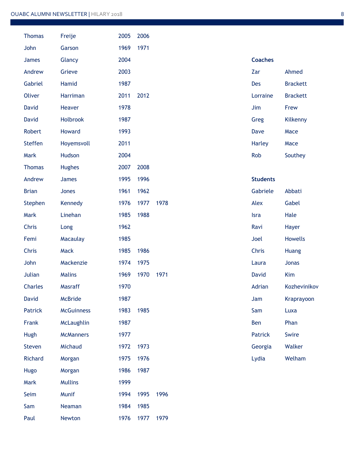| <b>Thomas</b>  | Freije            | 2005 | 2006 |      |                 |                 |
|----------------|-------------------|------|------|------|-----------------|-----------------|
| John           | Garson            | 1969 | 1971 |      |                 |                 |
| <b>James</b>   | Glancy            | 2004 |      |      | <b>Coaches</b>  |                 |
| Andrew         | Grieve            | 2003 |      |      | Zar             | Ahmed           |
| Gabriel        | Hamid             | 1987 |      |      | Des             | <b>Brackett</b> |
| <b>Oliver</b>  | Harriman          | 2011 | 2012 |      | Lorraine        | <b>Brackett</b> |
| <b>David</b>   | Heaver            | 1978 |      |      | Jim             | Frew            |
| <b>David</b>   | <b>Holbrook</b>   | 1987 |      |      | Greg            | Kilkenny        |
| Robert         | Howard            | 1993 |      |      | Dave            | Mace            |
| <b>Steffen</b> | Hoyemsvoll        | 2011 |      |      | <b>Harley</b>   | Mace            |
| Mark           | Hudson            | 2004 |      |      | Rob             | Southey         |
| <b>Thomas</b>  | <b>Hughes</b>     | 2007 | 2008 |      |                 |                 |
| Andrew         | James             | 1995 | 1996 |      | <b>Students</b> |                 |
| <b>Brian</b>   | Jones             | 1961 | 1962 |      | Gabriele        | Abbati          |
| Stephen        | Kennedy           | 1976 | 1977 | 1978 | Alex            | Gabel           |
| Mark           | Linehan           | 1985 | 1988 |      | Isra            | Hale            |
| Chris          | Long              | 1962 |      |      | Ravi            | Hayer           |
| Femi           | Macaulay          | 1985 |      |      | Joel            | <b>Howells</b>  |
| Chris          | Mack              | 1985 | 1986 |      | Chris           | Huang           |
| John           | Mackenzie         | 1974 | 1975 |      | Laura           | Jonas           |
| Julian         | <b>Malins</b>     | 1969 | 1970 | 1971 | <b>David</b>    | Kim             |
| Charles        | Masraff           | 1970 |      |      | Adrian          | Kozhevinikov    |
| <b>David</b>   | <b>McBride</b>    | 1987 |      |      | Jam             | Kraprayoon      |
| <b>Patrick</b> | <b>McGuinness</b> | 1983 | 1985 |      | Sam             | Luxa            |
| Frank          | McLaughlin        | 1987 |      |      | Ben             | Phan            |
| Hugh           | <b>McManners</b>  | 1977 |      |      | <b>Patrick</b>  | Swire           |
| Steven         | Michaud           | 1972 | 1973 |      | Georgia         | Walker          |
| Richard        | Morgan            | 1975 | 1976 |      | Lydia           | Welham          |
| Hugo           | Morgan            | 1986 | 1987 |      |                 |                 |
| Mark           | <b>Mullins</b>    | 1999 |      |      |                 |                 |
| Seim           | Munif             | 1994 | 1995 | 1996 |                 |                 |
| Sam            | Neaman            | 1984 | 1985 |      |                 |                 |
| Paul           | Newton            | 1976 | 1977 | 1979 |                 |                 |